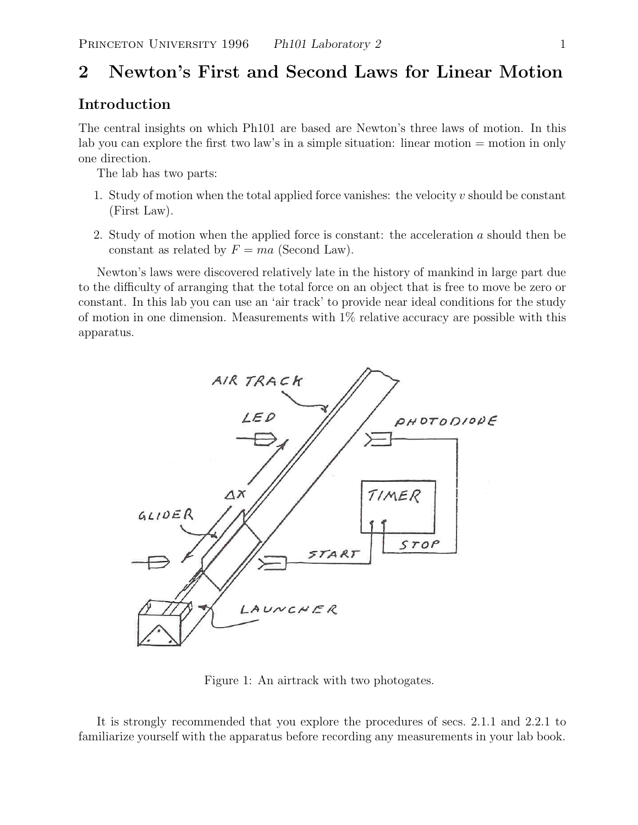# **2 Newton's First and Second Laws for Linear Motion**

# **Introduction**

The central insights on which Ph101 are based are Newton's three laws of motion. In this lab you can explore the first two law's in a simple situation: linear motion = motion in only one direction.

The lab has two parts:

- 1. Study of motion when the total applied force vanishes: the velocity  $v$  should be constant (First Law).
- 2. Study of motion when the applied force is constant: the acceleration  $a$  should then be constant as related by  $F = ma$  (Second Law).

Newton's laws were discovered relatively late in the history of mankind in large part due to the difficulty of arranging that the total force on an object that is free to move be zero or constant. In this lab you can use an 'air track' to provide near ideal conditions for the study of motion in one dimension. Measurements with  $1\%$  relative accuracy are possible with this apparatus.



Figure 1: An airtrack with two photogates.

It is strongly recommended that you explore the procedures of secs. 2.1.1 and 2.2.1 to familiarize yourself with the apparatus before recording any measurements in your lab book.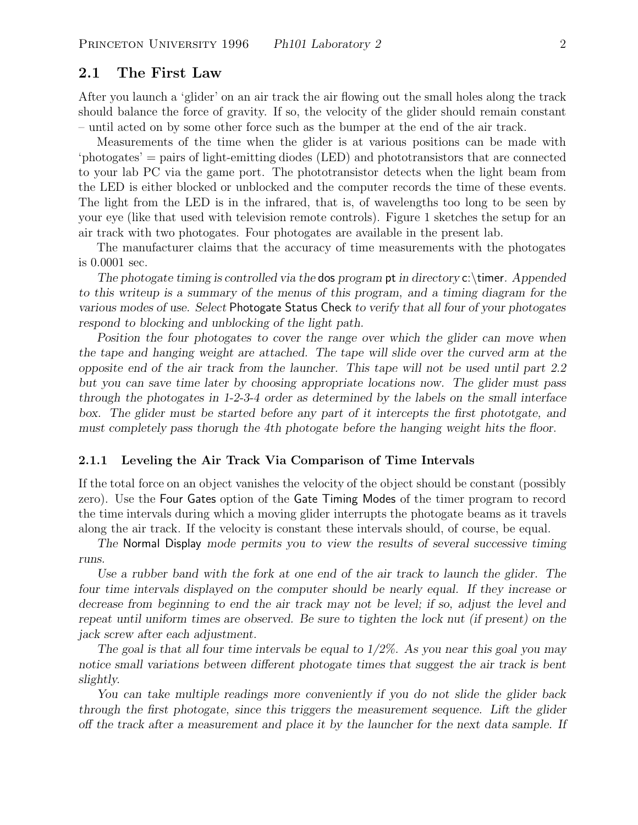## **2.1 The First Law**

After you launch a 'glider' on an air track the air flowing out the small holes along the track should balance the force of gravity. If so, the velocity of the glider should remain constant – until acted on by some other force such as the bumper at the end of the air track.

Measurements of the time when the glider is at various positions can be made with 'photogates' = pairs of light-emitting diodes (LED) and phototransistors that are connected to your lab PC via the game port. The phototransistor detects when the light beam from the LED is either blocked or unblocked and the computer records the time of these events. The light from the LED is in the infrared, that is, of wavelengths too long to be seen by your eye (like that used with television remote controls). Figure 1 sketches the setup for an air track with two photogates. Four photogates are available in the present lab.

The manufacturer claims that the accuracy of time measurements with the photogates is 0.0001 sec.

*The photogate timing is controlled via the* dos *program* pt *in directory* c:\timer*. Appended to this writeup is a summary of the menus of this program, and a timing diagram for the various modes of use. Select* Photogate Status Check *to verify that all four of your photogates respond to blocking and unblocking of the light path.*

*Position the four photogates to cover the range over which the glider can move when the tape and hanging weight are attached. The tape will slide over the curved arm at the opposite end of the air track from the launcher. This tape will not be used until part 2.2 but you can save time later by choosing appropriate locations now. The glider must pass through the photogates in 1-2-3-4 order as determined by the labels on the small interface box. The glider must be started before any part of it intercepts the first phototgate, and must completely pass thorugh the 4th photogate before the hanging weight hits the floor.*

#### **2.1.1 Leveling the Air Track Via Comparison of Time Intervals**

If the total force on an object vanishes the velocity of the object should be constant (possibly zero). Use the Four Gates option of the Gate Timing Modes of the timer program to record the time intervals during which a moving glider interrupts the photogate beams as it travels along the air track. If the velocity is constant these intervals should, of course, be equal.

*The* Normal Display *mode permits you to view the results of several successive timing runs.*

*Use a rubber band with the fork at one end of the air track to launch the glider. The four time intervals displayed on the computer should be nearly equal. If they increase or decrease from beginning to end the air track may not be level; if so, adjust the level and repeat until uniform times are observed. Be sure to tighten the lock nut (if present) on the jack screw after each adjustment.*

*The goal is that all four time intervals be equal to 1/2%. As you near this goal you may notice small variations between different photogate times that suggest the air track is bent slightly.*

*You can take multiple readings more conveniently if you do not slide the glider back through the first photogate, since this triggers the measurement sequence. Lift the glider off the track after a measurement and place it by the launcher for the next data sample. If*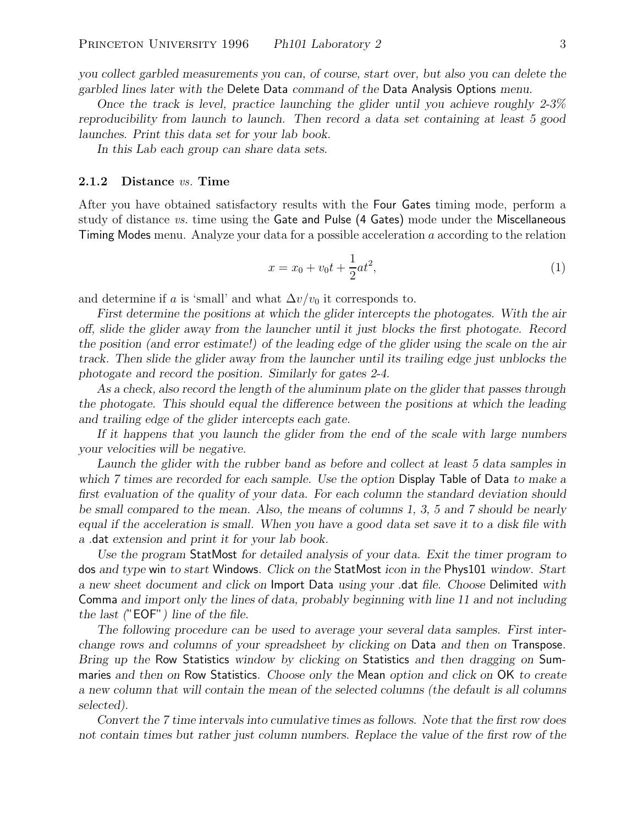*you collect garbled measurements you can, of course, start over, but also you can delete the garbled lines later with the* Delete Data *command of the* Data Analysis Options *menu.*

*Once the track is level, practice launching the glider until you achieve roughly 2-3% reproducibility from launch to launch. Then record a data set containing at least 5 good launches. Print this data set for your lab book.*

*In this Lab each group can share data sets.*

#### **2.1.2 Distance** *vs.* **Time**

After you have obtained satisfactory results with the Four Gates timing mode, perform a study of distance *vs.* time using the Gate and Pulse (4 Gates) mode under the Miscellaneous Timing Modes menu. Analyze your data for a possible acceleration a according to the relation

$$
x = x_0 + v_0 t + \frac{1}{2} a t^2,
$$
\n(1)

and determine if a is 'small' and what  $\Delta v/v_0$  it corresponds to.

*First determine the positions at which the glider intercepts the photogates. With the air off, slide the glider away from the launcher until it just blocks the first photogate. Record the position (and error estimate!) of the leading edge of the glider using the scale on the air track. Then slide the glider away from the launcher until its trailing edge just unblocks the photogate and record the position. Similarly for gates 2-4.*

*As a check, also record the length of the aluminum plate on the glider that passes through the photogate. This should equal the difference between the positions at which the leading and trailing edge of the glider intercepts each gate.*

*If it happens that you launch the glider from the end of the scale with large numbers your velocities will be negative.*

*Launch the glider with the rubber band as before and collect at least 5 data samples in which 7 times are recorded for each sample. Use the option* Display Table of Data *to make a first evaluation of the quality of your data. For each column the standard deviation should be small compared to the mean. Also, the means of columns 1, 3, 5 and 7 should be nearly equal if the acceleration is small. When you have a good data set save it to a disk file with a* .dat *extension and print it for your lab book.*

*Use the program* StatMost *for detailed analysis of your data. Exit the timer program to* dos *and type* win *to start* Windows*. Click on the* StatMost *icon in the* Phys101 *window. Start a new sheet document and click on* Import Data *using your* .dat *file. Choose* Delimited *with* Comma *and import only the lines of data, probably beginning with line 11 and not including the last (*"EOF"*) line of the file.*

*The following procedure can be used to average your several data samples. First interchange rows and columns of your spreadsheet by clicking on* Data *and then on* Transpose*. Bring up the* Row Statistics *window by clicking on* Statistics *and then dragging on* Summaries *and then on* Row Statistics*. Choose only the* Mean *option and click on* OK *to create a new column that will contain the mean of the selected columns (the default is all columns selected).*

*Convert the 7 time intervals into cumulative times as follows. Note that the first row does not contain times but rather just column numbers. Replace the value of the first row of the*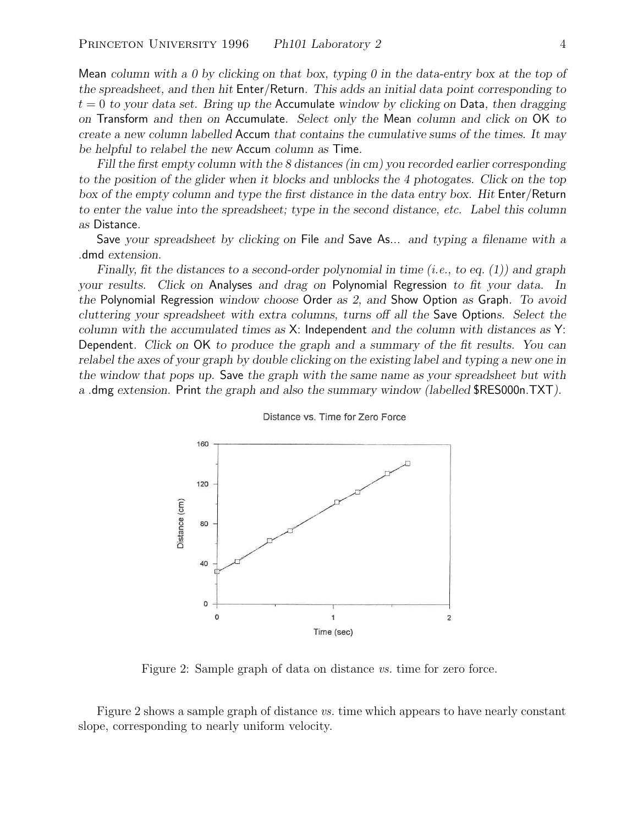Mean *column with a 0 by clicking on that box, typing 0 in the data-entry box at the top of the spreadsheet, and then hit* Enter/Return*. This adds an initial data point corresponding to* t = 0 *to your data set. Bring up the* Accumulate *window by clicking on* Data*, then dragging on* Transform *and then on* Accumulate*. Select only the* Mean *column and click on* OK *to create a new column labelled* Accum *that contains the cumulative sums of the times. It may be helpful to relabel the new* Accum *column as* Time*.*

*Fill the first empty column with the 8 distances (in cm) you recorded earlier corresponding to the position of the glider when it blocks and unblocks the 4 photogates. Click on the top box of the empty column and type the first distance in the data entry box. Hit* Enter/Return *to enter the value into the spreadsheet; type in the second distance, etc. Label this column as* Distance*.*

Save *your spreadsheet by clicking on* File *and* Save As... *and typing a filename with a* .dmd *extension.*

*Finally, fit the distances to a second-order polynomial in time (i.e., to eq. (1)) and graph your results. Click on* Analyses *and drag on* Polynomial Regression *to fit your data. In the* Polynomial Regression *window choose* Order *as 2, and* Show Option *as* Graph*. To avoid cluttering your spreadsheet with extra columns, turns off all the* Save Option*s. Select the column with the accumulated times as* X: Independent *and the column with distances as* Y: Dependent*. Click on* OK *to produce the graph and a summary of the fit results. You can relabel the axes of your graph by double clicking on the existing label and typing a new one in the window that pops up.* Save *the graph with the same name as your spreadsheet but with a* .dmg *extension.* Print *the graph and also the summary window (labelled* \$RES000n.TXT*).*



Distance vs. Time for Zero Force

Figure 2: Sample graph of data on distance *vs.* time for zero force.

Figure 2 shows a sample graph of distance *vs.* time which appears to have nearly constant slope, corresponding to nearly uniform velocity.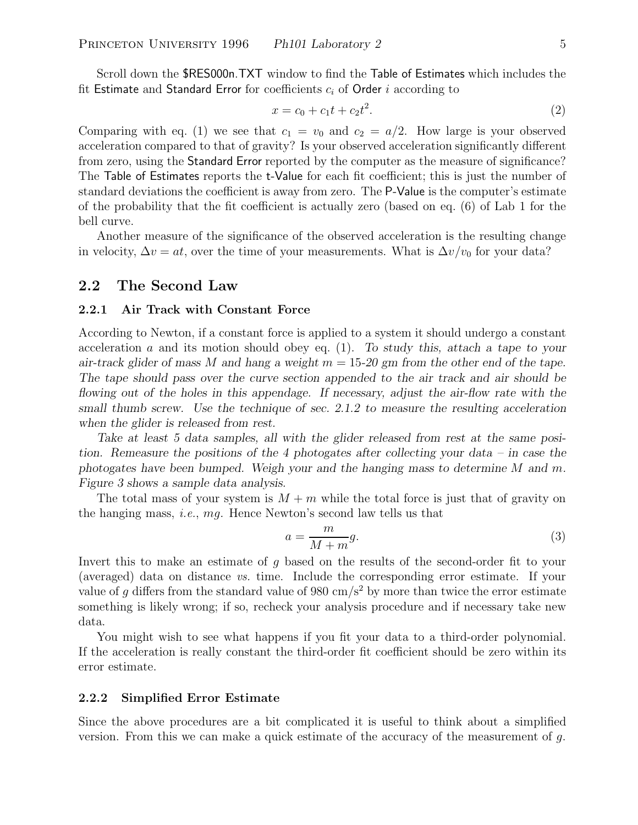Scroll down the \$RES000n.TXT window to find the Table of Estimates which includes the fit Estimate and Standard Error for coefficients <sup>c</sup>*i* of Order <sup>i</sup> according to

$$
x = c_0 + c_1 t + c_2 t^2. \tag{2}
$$

Comparing with eq. (1) we see that  $c_1 = v_0$  and  $c_2 = a/2$ . How large is your observed acceleration compared to that of gravity? Is your observed acceleration significantly different from zero, using the Standard Error reported by the computer as the measure of significance? The Table of Estimates reports the t-Value for each fit coefficient; this is just the number of standard deviations the coefficient is away from zero. The P-Value is the computer's estimate of the probability that the fit coefficient is actually zero (based on eq. (6) of Lab 1 for the bell curve.

Another measure of the significance of the observed acceleration is the resulting change in velocity,  $\Delta v = at$ , over the time of your measurements. What is  $\Delta v/v_0$  for your data?

## **2.2 The Second Law**

#### **2.2.1 Air Track with Constant Force**

According to Newton, if a constant force is applied to a system it should undergo a constant acceleration a and its motion should obey eq. (1). *To study this, attach a tape to your air-track glider of mass* M *and hang a weight* m = 15*-20 gm from the other end of the tape. The tape should pass over the curve section appended to the air track and air should be flowing out of the holes in this appendage. If necessary, adjust the air-flow rate with the small thumb screw. Use the technique of sec. 2.1.2 to measure the resulting acceleration when the glider is released from rest.*

*Take at least 5 data samples, all with the glider released from rest at the same position. Remeasure the positions of the 4 photogates after collecting your data – in case the photogates have been bumped. Weigh your and the hanging mass to determine* M *and* m*. Figure 3 shows a sample data analysis.*

The total mass of your system is  $M + m$  while the total force is just that of gravity on the hanging mass, *i.e.*, mg. Hence Newton's second law tells us that

$$
a = \frac{m}{M+m}g.\tag{3}
$$

Invert this to make an estimate of g based on the results of the second-order fit to your (averaged) data on distance *vs.* time. Include the corresponding error estimate. If your value of q differs from the standard value of 980 cm/s<sup>2</sup> by more than twice the error estimate something is likely wrong; if so, recheck your analysis procedure and if necessary take new data.

You might wish to see what happens if you fit your data to a third-order polynomial. If the acceleration is really constant the third-order fit coefficient should be zero within its error estimate.

### **2.2.2 Simplified Error Estimate**

Since the above procedures are a bit complicated it is useful to think about a simplified version. From this we can make a quick estimate of the accuracy of the measurement of  $g$ .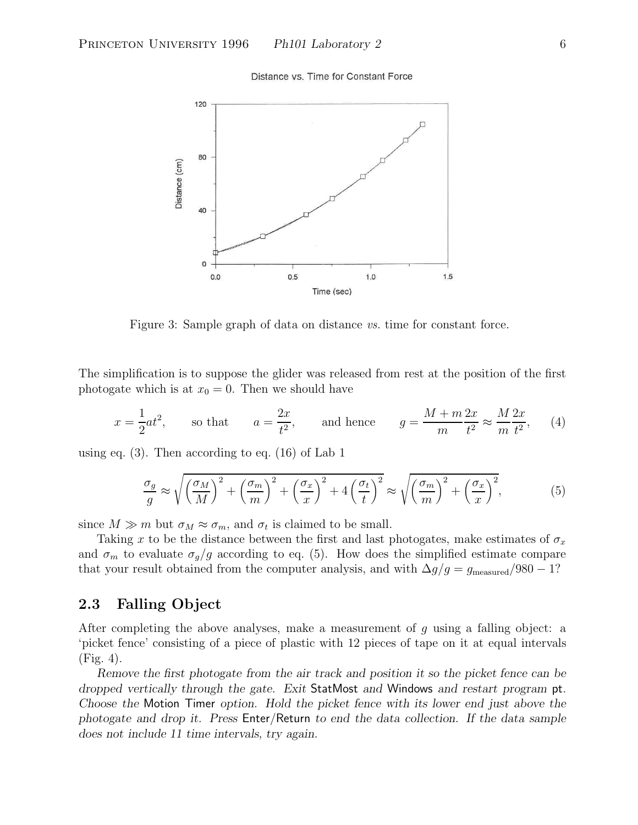Distance vs. Time for Constant Force



Figure 3: Sample graph of data on distance *vs.* time for constant force.

The simplification is to suppose the glider was released from rest at the position of the first photogate which is at  $x_0 = 0$ . Then we should have

$$
x = \frac{1}{2}at^2
$$
, so that  $a = \frac{2x}{t^2}$ , and hence  $g = \frac{M+m}{m}\frac{2x}{t^2} \approx \frac{M}{m}\frac{2x}{t^2}$ , (4)

using eq. (3). Then according to eq. (16) of Lab 1

$$
\frac{\sigma_g}{g} \approx \sqrt{\left(\frac{\sigma_M}{M}\right)^2 + \left(\frac{\sigma_m}{m}\right)^2 + \left(\frac{\sigma_x}{x}\right)^2 + 4\left(\frac{\sigma_t}{t}\right)^2} \approx \sqrt{\left(\frac{\sigma_m}{m}\right)^2 + \left(\frac{\sigma_x}{x}\right)^2},\tag{5}
$$

since  $M \gg m$  but  $\sigma_M \approx \sigma_m$ , and  $\sigma_t$  is claimed to be small.

Taking x to be the distance between the first and last photogates, make estimates of  $\sigma_x$ and  $\sigma_m$  to evaluate  $\sigma_g/g$  according to eq. (5). How does the simplified estimate compare that your result obtained from the computer analysis, and with  $\Delta g/g = g_{\text{measured}}/980 - 1$ ?

# **2.3 Falling Object**

After completing the above analyses, make a measurement of  $q$  using a falling object: a 'picket fence' consisting of a piece of plastic with 12 pieces of tape on it at equal intervals (Fig. 4).

*Remove the first photogate from the air track and position it so the picket fence can be dropped vertically through the gate. Exit* StatMost *and* Windows *and restart program* pt*. Choose the* Motion Timer *option. Hold the picket fence with its lower end just above the photogate and drop it. Press* Enter/Return *to end the data collection. If the data sample does not include 11 time intervals, try again.*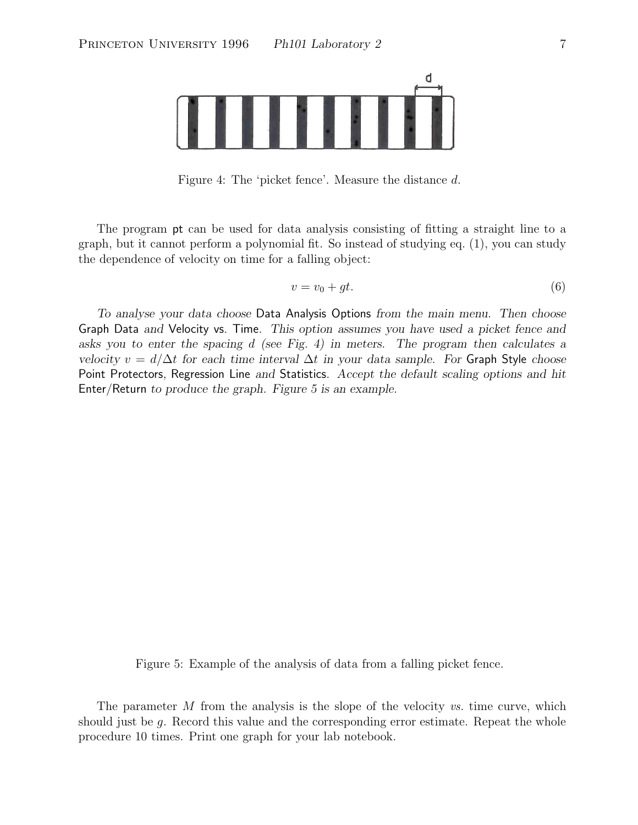

Figure 4: The 'picket fence'. Measure the distance d.

The program pt can be used for data analysis consisting of fitting a straight line to a graph, but it cannot perform a polynomial fit. So instead of studying eq. (1), you can study the dependence of velocity on time for a falling object:

$$
v = v_0 + gt.
$$
\n<sup>(6)</sup>

*To analyse your data choose* Data Analysis Options *from the main menu. Then choose* Graph Data *and* Velocity vs. Time*. This option assumes you have used a picket fence and asks you to enter the spacing* d *(see Fig. 4) in meters. The program then calculates a velocity*  $v = d/\Delta t$  *for each time interval*  $\Delta t$  *in your data sample. For* Graph Style *choose* Point Protectors*,* Regression Line *and* Statistics*. Accept the default scaling options and hit* Enter/Return *to produce the graph. Figure 5 is an example.*

Figure 5: Example of the analysis of data from a falling picket fence.

The parameter M from the analysis is the slope of the velocity *vs.* time curve, which should just be g. Record this value and the corresponding error estimate. Repeat the whole procedure 10 times. Print one graph for your lab notebook.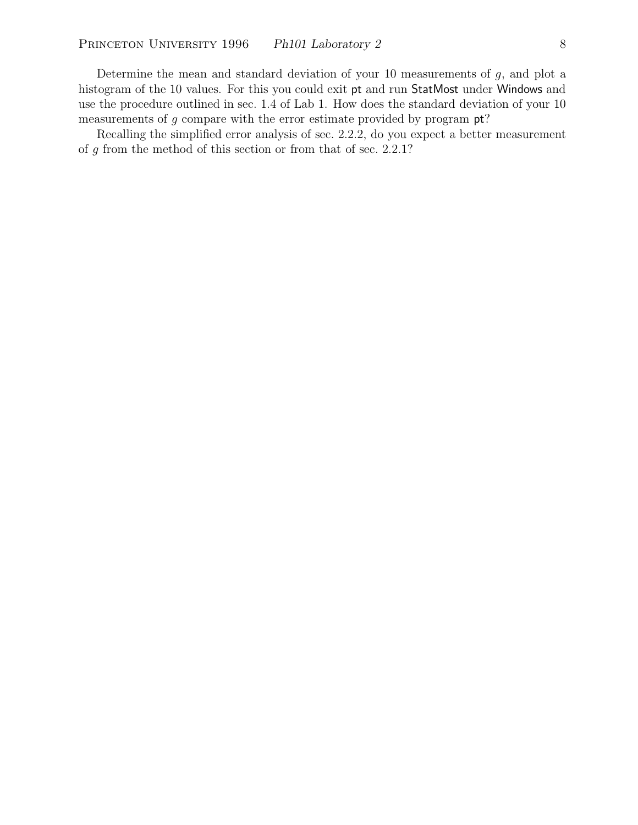Determine the mean and standard deviation of your 10 measurements of  $g$ , and plot a histogram of the 10 values. For this you could exit pt and run StatMost under Windows and use the procedure outlined in sec. 1.4 of Lab 1. How does the standard deviation of your 10 measurements of  $g$  compare with the error estimate provided by program  $pt$ ?

Recalling the simplified error analysis of sec. 2.2.2, do you expect a better measurement of g from the method of this section or from that of sec. 2.2.1?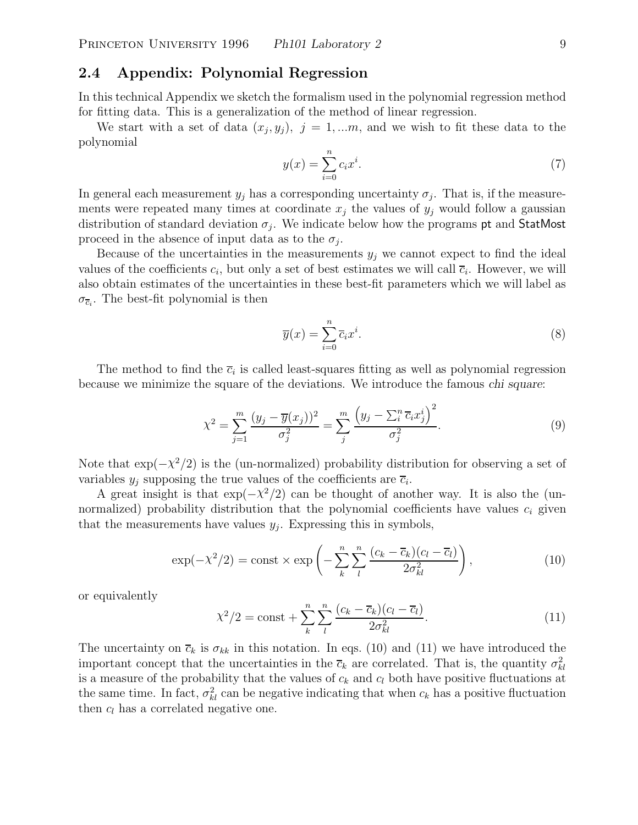# **2.4 Appendix: Polynomial Regression**

In this technical Appendix we sketch the formalism used in the polynomial regression method for fitting data. This is a generalization of the method of linear regression.

We start with a set of data  $(x_i, y_j)$ ,  $j = 1,...m$ , and we wish to fit these data to the polynomial

$$
y(x) = \sum_{i=0}^{n} c_i x^i.
$$
 (7)

In general each measurement  $y_j$  has a corresponding uncertainty  $\sigma_j$ . That is, if the measurements were repeated many times at coordinate  $x_j$  the values of  $y_j$  would follow a gaussian distribution of standard deviation  $\sigma_j$ . We indicate below how the programs pt and StatMost proceed in the absence of input data as to the  $\sigma_i$ .

Because of the uncertainties in the measurements  $y_j$  we cannot expect to find the ideal values of the coefficients  $c_i$ , but only a set of best estimates we will call  $\overline{c}_i$ . However, we will also obtain estimates of the uncertainties in these best-fit parameters which we will label as  $\sigma_{\overline{c}_i}$ . The best-fit polynomial is then

$$
\overline{y}(x) = \sum_{i=0}^{n} \overline{c}_i x^i.
$$
 (8)

The method to find the  $\bar{c}_i$  is called least-squares fitting as well as polynomial regression because we minimize the square of the deviations. We introduce the famous *chi square*:

$$
\chi^{2} = \sum_{j=1}^{m} \frac{(y_{j} - \overline{y}(x_{j}))^{2}}{\sigma_{j}^{2}} = \sum_{j}^{m} \frac{(y_{j} - \sum_{i}^{n} \overline{c}_{i} x_{j}^{i})^{2}}{\sigma_{j}^{2}}.
$$
\n(9)

Note that  $\exp(-\chi^2/2)$  is the (un-normalized) probability distribution for observing a set of variables  $y_i$  supposing the true values of the coefficients are  $\overline{c}_i$ .

A great insight is that  $\exp(-\chi^2/2)$  can be thought of another way. It is also the (unnormalized) probability distribution that the polynomial coefficients have values  $c_i$  given that the measurements have values  $y_j$ . Expressing this in symbols,

$$
\exp(-\chi^2/2) = \text{const} \times \exp\left(-\sum_{k}^{n} \sum_{l}^{n} \frac{(c_k - \overline{c}_k)(c_l - \overline{c}_l)}{2\sigma_{kl}^2}\right),\tag{10}
$$

or equivalently

$$
\chi^2/2 = \text{const} + \sum_{k}^{n} \sum_{l}^{n} \frac{(c_k - \overline{c}_k)(c_l - \overline{c}_l)}{2\sigma_{kl}^2}.
$$
 (11)

The uncertainty on  $\overline{c}_k$  is  $\sigma_{kk}$  in this notation. In eqs. (10) and (11) we have introduced the important concept that the uncertainties in the  $\bar{c}_k$  are correlated. That is, the quantity  $\sigma_{kl}^2$ is a measure of the probability that the values of  $c_k$  and  $c_l$  both have positive fluctuations at the same time. In fact,  $\sigma_{kl}^2$  can be negative indicating that when  $c_k$  has a positive fluctuation than  $c_k$  has a correlated negative and then  $c_l$  has a correlated negative one.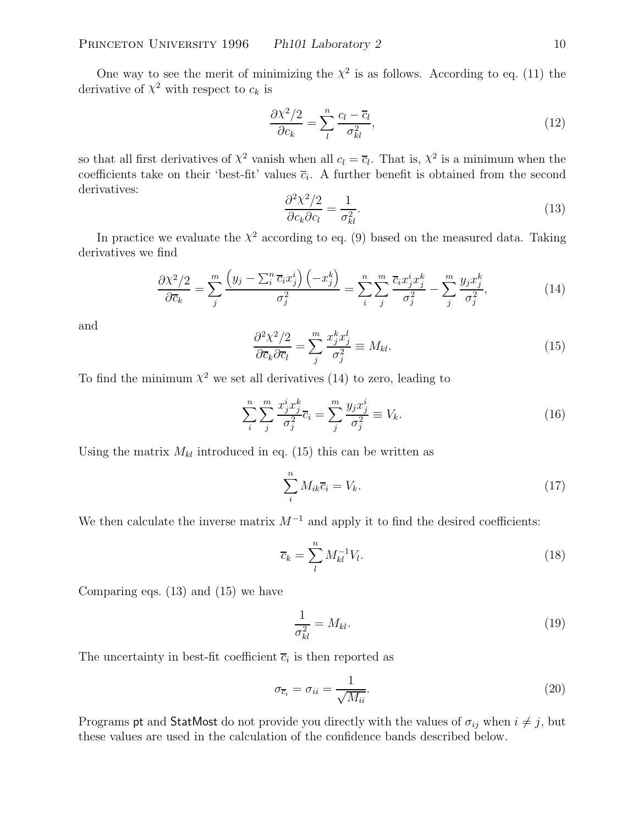One way to see the merit of minimizing the  $\chi^2$  is as follows. According to eq. (11) the derivative of  $\chi^2$  with respect to  $c_k$  is

$$
\frac{\partial \chi^2 / 2}{\partial c_k} = \sum_{l}^{n} \frac{c_l - \overline{c}_l}{\sigma_{kl}^2},\tag{12}
$$

so that all first derivatives of  $\chi^2$  vanish when all  $c_l = \overline{c}_l$ . That is,  $\chi^2$  is a minimum when the coefficients take on their 'best-fit' values  $\overline{c}_i$ . A further benefit is obtained from the second derivatives:

$$
\frac{\partial^2 \chi^2 / 2}{\partial c_k \partial c_l} = \frac{1}{\sigma_{kl}^2}.
$$
\n(13)

 $\partial c_k \partial c_l$   $\sigma_{kl}^2$ <br>In practice we evaluate the  $\chi^2$  according to eq. (9) based on the measured data. Taking derivatives we find

$$
\frac{\partial \chi^2/2}{\partial \overline{c}_k} = \sum_j^m \frac{\left(y_j - \sum_i^n \overline{c}_i x_j^i\right)\left(-x_j^k\right)}{\sigma_j^2} = \sum_i^n \sum_j^m \frac{\overline{c}_i x_j^i x_j^k}{\sigma_j^2} - \sum_j^m \frac{y_j x_j^k}{\sigma_j^2},\tag{14}
$$

and

$$
\frac{\partial^2 \chi^2 / 2}{\partial \overline{c}_k \partial \overline{c}_l} = \sum_j^m \frac{x_j^k x_j^l}{\sigma_j^2} \equiv M_{kl}.
$$
 (15)

To find the minimum  $\chi^2$  we set all derivatives (14) to zero, leading to

$$
\sum_{i}^{n} \sum_{j}^{m} \frac{x_j^i x_j^k}{\sigma_j^2} \overline{c}_i = \sum_{j}^{m} \frac{y_j x_j^i}{\sigma_j^2} \equiv V_k. \tag{16}
$$

Using the matrix  $M_{kl}$  introduced in eq. (15) this can be written as

$$
\sum_{i}^{n} M_{ik}\overline{c}_{i} = V_{k}.\tag{17}
$$

We then calculate the inverse matrix  $M^{-1}$  and apply it to find the desired coefficients:

$$
\overline{c}_k = \sum_{l}^{n} M_{kl}^{-1} V_l. \tag{18}
$$

Comparing eqs. (13) and (15) we have

$$
\frac{1}{\sigma_{kl}^2} = M_{kl}.\tag{19}
$$

The uncertainty in best-fit coefficient  $\overline{c}_i$  is then reported as

$$
\sigma_{\overline{c}_i} = \sigma_{ii} = \frac{1}{\sqrt{M_{ii}}}.\tag{20}
$$

Programs **pt** and StatMost do not provide you directly with the values of  $\sigma_{ij}$  when  $i \neq j$ , but these values are used in the calculation of the confidence bands described below.